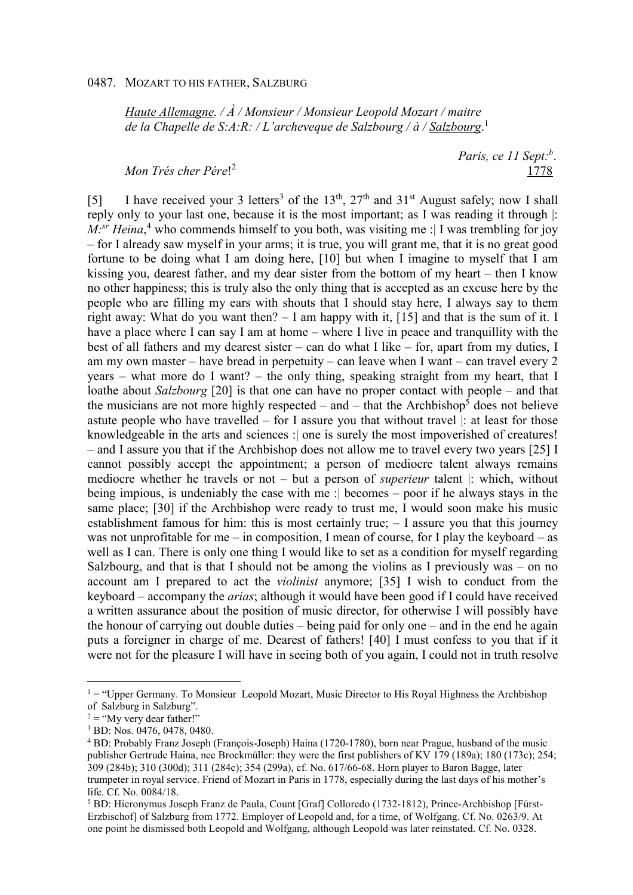*Haute Allemagne. / À / Monsieur / Monsieur Leopold Mozart / maitre de la Chapelle de S:A:R: / L'archeveque de Salzbourg / à / Salzbourg*. 1

*Mon Trés cher Pére*! 2

 *Paris, ce 11 Sept:<sup>b</sup>* . 1778

[5] I have received your 3 letters<sup>3</sup> of the 13<sup>th</sup>, 27<sup>th</sup> and 31<sup>st</sup> August safely; now I shall reply only to your last one, because it is the most important; as I was reading it through |: *M*:<sup>*sr*</sup> *Heina*,<sup>4</sup> who commends himself to you both, was visiting me : I was trembling for joy – for I already saw myself in your arms; it is true, you will grant me, that it is no great good fortune to be doing what I am doing here, [10] but when I imagine to myself that I am kissing you, dearest father, and my dear sister from the bottom of my heart – then I know no other happiness; this is truly also the only thing that is accepted as an excuse here by the people who are filling my ears with shouts that I should stay here, I always say to them right away: What do you want then? – I am happy with it, [15] and that is the sum of it. I have a place where I can say I am at home – where I live in peace and tranquillity with the best of all fathers and my dearest sister – can do what I like – for, apart from my duties, I am my own master – have bread in perpetuity – can leave when I want – can travel every 2 years – what more do I want? – the only thing, speaking straight from my heart, that I loathe about *Salzbourg* [20] is that one can have no proper contact with people – and that the musicians are not more highly respected  $-$  and  $-$  that the Archbishop<sup>5</sup> does not believe astute people who have travelled – for I assure you that without travel |: at least for those knowledgeable in the arts and sciences :| one is surely the most impoverished of creatures! – and I assure you that if the Archbishop does not allow me to travel every two years [25] I cannot possibly accept the appointment; a person of mediocre talent always remains mediocre whether he travels or not – but a person of *superieur* talent |: which, without being impious, is undeniably the case with me :| becomes – poor if he always stays in the same place; [30] if the Archbishop were ready to trust me, I would soon make his music establishment famous for him: this is most certainly true; – I assure you that this journey was not unprofitable for me – in composition, I mean of course, for I play the keyboard – as well as I can. There is only one thing I would like to set as a condition for myself regarding Salzbourg, and that is that I should not be among the violins as I previously was – on no account am I prepared to act the *violinist* anymore; [35] I wish to conduct from the keyboard – accompany the *arias*; although it would have been good if I could have received a written assurance about the position of music director, for otherwise I will possibly have the honour of carrying out double duties – being paid for only one – and in the end he again puts a foreigner in charge of me. Dearest of fathers! [40] I must confess to you that if it were not for the pleasure I will have in seeing both of you again, I could not in truth resolve

 $1 =$  "Upper Germany. To Monsieur Leopold Mozart, Music Director to His Royal Highness the Archbishop of Salzburg in Salzburg".

 $2 =$  "My very dear father!"

<sup>3</sup> BD: Nos. 0476, 0478, 0480.

<sup>4</sup> BD: Probably Franz Joseph (François-Joseph) Haina (1720-1780), born near Prague, husband of the music publisher Gertrude Haina, nee Brockmüller: they were the first publishers of KV 179 (189a); 180 (173c); 254; 309 (284b); 310 (300d); 311 (284c); 354 (299a), cf. No. 617/66-68. Horn player to Baron Bagge, later trumpeter in royal service. Friend of Mozart in Paris in 1778, especially during the last days of his mother's life. Cf. No. 0084/18.

<sup>5</sup> BD: Hieronymus Joseph Franz de Paula, Count [Graf] Colloredo (1732-1812), Prince-Archbishop [Fürst-Erzbischof] of Salzburg from 1772. Employer of Leopold and, for a time, of Wolfgang. Cf. No. 0263/9. At one point he dismissed both Leopold and Wolfgang, although Leopold was later reinstated. Cf. No. 0328.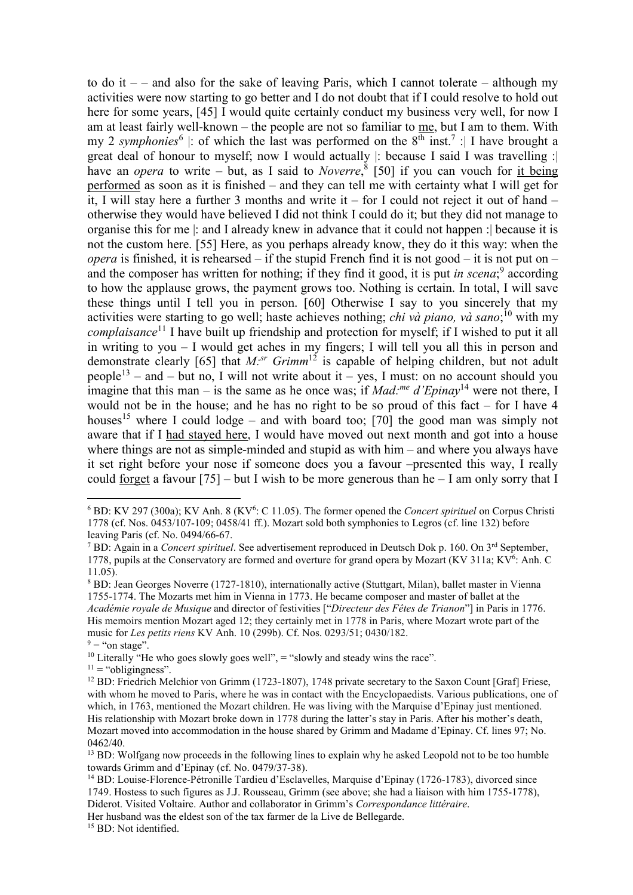to do it  $-$  – and also for the sake of leaving Paris, which I cannot tolerate – although my activities were now starting to go better and I do not doubt that if I could resolve to hold out here for some years, [45] I would quite certainly conduct my business very well, for now I am at least fairly well-known – the people are not so familiar to me, but I am to them. With my 2 *symphonies*<sup>6</sup> |: of which the last was performed on the 8<sup>th</sup> inst.<sup>7</sup> : | I have brought a great deal of honour to myself; now I would actually |: because I said I was travelling :| have an *opera* to write – but, as I said to *Noverre*, 8 [50] if you can vouch for it being performed as soon as it is finished – and they can tell me with certainty what I will get for it, I will stay here a further 3 months and write it – for I could not reject it out of hand – otherwise they would have believed I did not think I could do it; but they did not manage to organise this for me |: and I already knew in advance that it could not happen :| because it is not the custom here. [55] Here, as you perhaps already know, they do it this way: when the *opera* is finished, it is rehearsed – if the stupid French find it is not good – it is not put on – and the composer has written for nothing; if they find it good, it is put *in scena*;<sup>9</sup> according to how the applause grows, the payment grows too. Nothing is certain. In total, I will save these things until I tell you in person. [60] Otherwise I say to you sincerely that my activities were starting to go well; haste achieves nothing; *chi và piano, và sano*; <sup>10</sup> with my *complaisance*<sup>11</sup> I have built up friendship and protection for myself; if I wished to put it all in writing to you – I would get aches in my fingers; I will tell you all this in person and demonstrate clearly [65] that *M:sr Grimm*<sup>12</sup> is capable of helping children, but not adult people<sup>13</sup> – and – but no, I will not write about it – yes, I must: on no account should you imagine that this man – is the same as he once was; if *Mad:me d'Epinay*<sup>14</sup> were not there, I would not be in the house; and he has no right to be so proud of this fact – for I have 4 houses<sup>15</sup> where I could lodge – and with board too; [70] the good man was simply not aware that if I had stayed here, I would have moved out next month and got into a house where things are not as simple-minded and stupid as with him – and where you always have it set right before your nose if someone does you a favour –presented this way, I really could forget a favour  $[75]$  – but I wish to be more generous than he – I am only sorry that I

 $\overline{a}$ 

Her husband was the eldest son of the tax farmer de la Live de Bellegarde.

<sup>15</sup> BD: Not identified.

<sup>&</sup>lt;sup>6</sup> BD: KV 297 (300a); KV Anh. 8 (KV<sup>6</sup>: C 11.05). The former opened the *Concert spirituel* on Corpus Christi 1778 (cf. Nos. 0453/107-109; 0458/41 ff.). Mozart sold both symphonies to Legros (cf. line 132) before leaving Paris (cf. No. 0494/66-67.

<sup>&</sup>lt;sup>7</sup> BD: Again in a *Concert spirituel*. See advertisement reproduced in Deutsch Dok p. 160. On 3<sup>rd</sup> September, 1778, pupils at the Conservatory are formed and overture for grand opera by Mozart (KV 311a; KV<sup>6</sup>: Anh. C 11.05).

<sup>&</sup>lt;sup>8</sup> BD: Jean Georges Noverre (1727-1810), internationally active (Stuttgart, Milan), ballet master in Vienna 1755-1774. The Mozarts met him in Vienna in 1773. He became composer and master of ballet at the *Académie royale de Musique* and director of festivities ["*Directeur des Fêtes de Trianon*"] in Paris in 1776. His memoirs mention Mozart aged 12; they certainly met in 1778 in Paris, where Mozart wrote part of the music for *Les petits riens* KV Anh. 10 (299b). Cf. Nos. 0293/51; 0430/182.

 $9 =$  "on stage".

<sup>&</sup>lt;sup>10</sup> Literally "He who goes slowly goes well",  $=$  "slowly and steady wins the race".

 $11 =$  "obligingness".

<sup>&</sup>lt;sup>12</sup> BD: Friedrich Melchior von Grimm (1723-1807), 1748 private secretary to the Saxon Count [Graf] Friese, with whom he moved to Paris, where he was in contact with the Encyclopaedists. Various publications, one of which, in 1763, mentioned the Mozart children. He was living with the Marquise d'Epinay just mentioned. His relationship with Mozart broke down in 1778 during the latter's stay in Paris. After his mother's death, Mozart moved into accommodation in the house shared by Grimm and Madame d'Epinay. Cf. lines 97; No. 0462/40.

<sup>&</sup>lt;sup>13</sup> BD: Wolfgang now proceeds in the following lines to explain why he asked Leopold not to be too humble towards Grimm and d'Epinay (cf. No. 0479/37-38).

<sup>14</sup> BD: Louise-Florence-Pétronille Tardieu d'Esclavelles, Marquise d'Epinay (1726-1783), divorced since 1749. Hostess to such figures as J.J. Rousseau, Grimm (see above; she had a liaison with him 1755-1778), Diderot. Visited Voltaire. Author and collaborator in Grimm's *Correspondance littéraire*.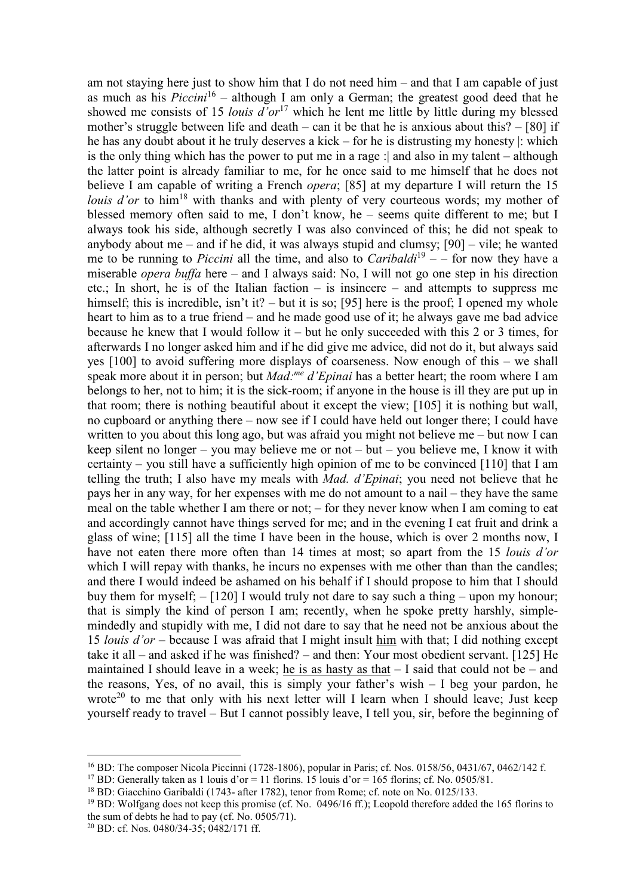am not staying here just to show him that I do not need him – and that I am capable of just as much as his  $Piccini^{16}$  – although I am only a German; the greatest good deed that he showed me consists of 15 *louis d'or*<sup>17</sup> which he lent me little by little during my blessed mother's struggle between life and death – can it be that he is anxious about this?  $-$  [80] if he has any doubt about it he truly deserves a kick – for he is distrusting my honesty |: which is the only thing which has the power to put me in a rage :| and also in my talent – although the latter point is already familiar to me, for he once said to me himself that he does not believe I am capable of writing a French *opera*; [85] at my departure I will return the 15 *louis d'or* to him<sup>18</sup> with thanks and with plenty of very courteous words; my mother of blessed memory often said to me, I don't know, he – seems quite different to me; but I always took his side, although secretly I was also convinced of this; he did not speak to anybody about me – and if he did, it was always stupid and clumsy;  $[90]$  – vile; he wanted me to be running to *Piccini* all the time, and also to *Caribaldi*<sup>19</sup> – – for now they have a miserable *opera buffa* here – and I always said: No, I will not go one step in his direction etc.; In short, he is of the Italian faction – is insincere – and attempts to suppress me himself; this is incredible, isn't it? – but it is so; [95] here is the proof; I opened my whole heart to him as to a true friend – and he made good use of it; he always gave me bad advice because he knew that I would follow it – but he only succeeded with this 2 or 3 times, for afterwards I no longer asked him and if he did give me advice, did not do it, but always said yes [100] to avoid suffering more displays of coarseness. Now enough of this – we shall speak more about it in person; but *Mad:me d'Epinai* has a better heart; the room where I am belongs to her, not to him; it is the sick-room; if anyone in the house is ill they are put up in that room; there is nothing beautiful about it except the view; [105] it is nothing but wall, no cupboard or anything there – now see if I could have held out longer there; I could have written to you about this long ago, but was afraid you might not believe me – but now I can keep silent no longer – you may believe me or not – but – you believe me, I know it with certainty – you still have a sufficiently high opinion of me to be convinced [110] that I am telling the truth; I also have my meals with *Mad. d'Epinai*; you need not believe that he pays her in any way, for her expenses with me do not amount to a nail – they have the same meal on the table whether I am there or not; – for they never know when I am coming to eat and accordingly cannot have things served for me; and in the evening I eat fruit and drink a glass of wine; [115] all the time I have been in the house, which is over 2 months now, I have not eaten there more often than 14 times at most; so apart from the 15 *louis d'or* which I will repay with thanks, he incurs no expenses with me other than than the candles; and there I would indeed be ashamed on his behalf if I should propose to him that I should buy them for myself; – [120] I would truly not dare to say such a thing – upon my honour; that is simply the kind of person I am; recently, when he spoke pretty harshly, simplemindedly and stupidly with me, I did not dare to say that he need not be anxious about the 15 *louis d'or* – because I was afraid that I might insult him with that; I did nothing except take it all – and asked if he was finished? – and then: Your most obedient servant. [125] He maintained I should leave in a week; he is as hasty as that  $-$  I said that could not be  $-$  and the reasons, Yes, of no avail, this is simply your father's wish  $-1$  beg your pardon, he wrote<sup>20</sup> to me that only with his next letter will I learn when I should leave; Just keep yourself ready to travel – But I cannot possibly leave, I tell you, sir, before the beginning of

<sup>16</sup> BD: The composer Nicola Piccinni (1728-1806), popular in Paris; cf. Nos. 0158/56, 0431/67, 0462/142 f.

<sup>&</sup>lt;sup>17</sup> BD: Generally taken as 1 louis d'or = 11 florins. 15 louis d'or = 165 florins; cf. No. 0505/81.

<sup>&</sup>lt;sup>18</sup> BD: Giacchino Garibaldi (1743- after 1782), tenor from Rome; cf. note on No. 0125/133.

<sup>19</sup> BD: Wolfgang does not keep this promise (cf. No. 0496/16 ff.); Leopold therefore added the 165 florins to the sum of debts he had to pay (cf. No. 0505/71).

<sup>20</sup> BD: cf. Nos. 0480/34-35; 0482/171 ff.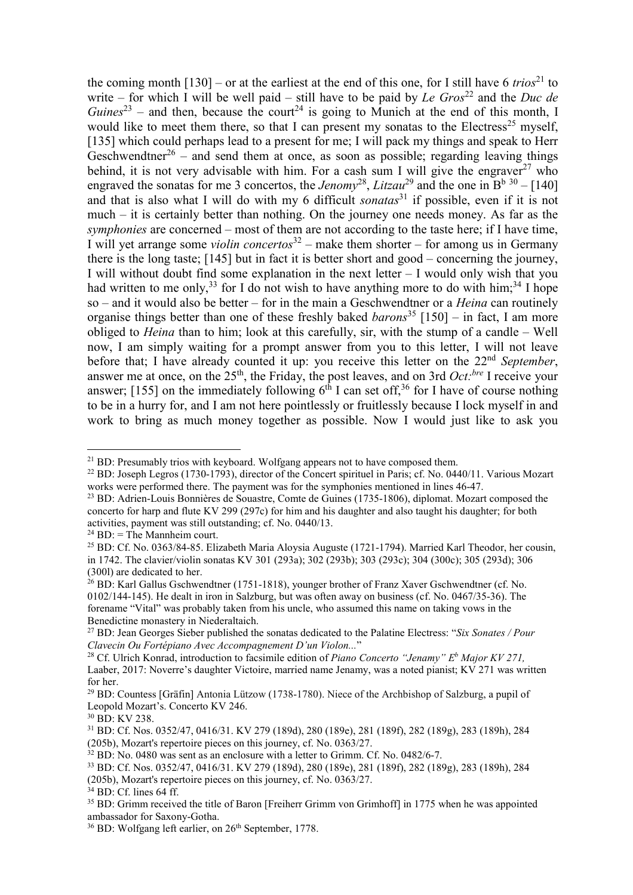the coming month  $[130]$  – or at the earliest at the end of this one, for I still have 6 *trios*<sup>21</sup> to write – for which I will be well paid – still have to be paid by *Le Gros*<sup>22</sup> and the *Duc de*  $Guines<sup>23</sup>$  – and then, because the court<sup>24</sup> is going to Munich at the end of this month, I would like to meet them there, so that I can present my sonatas to the Electress<sup>25</sup> myself, [135] which could perhaps lead to a present for me; I will pack my things and speak to Herr Geschwendtner<sup>26</sup> – and send them at once, as soon as possible; regarding leaving things behind, it is not very advisable with him. For a cash sum I will give the engraver<sup>27</sup> who engraved the sonatas for me 3 concertos, the *Jenomy*<sup>28</sup>, *Litzau*<sup>29</sup> and the one in  $B<sup>b 30</sup> - [140]$ and that is also what I will do with my 6 difficult *sonatas*<sup>31</sup> if possible, even if it is not much – it is certainly better than nothing. On the journey one needs money. As far as the *symphonies* are concerned – most of them are not according to the taste here; if I have time, I will yet arrange some *violin concertos*<sup>32</sup> – make them shorter – for among us in Germany there is the long taste; [145] but in fact it is better short and good – concerning the journey, I will without doubt find some explanation in the next letter – I would only wish that you had written to me only,<sup>33</sup> for I do not wish to have anything more to do with him;<sup>34</sup> I hope so – and it would also be better – for in the main a Geschwendtner or a *Heina* can routinely organise things better than one of these freshly baked *barons*<sup>35</sup> [150] – in fact, I am more obliged to *Heina* than to him; look at this carefully, sir, with the stump of a candle – Well now, I am simply waiting for a prompt answer from you to this letter, I will not leave before that; I have already counted it up: you receive this letter on the 22<sup>nd</sup> September, answer me at once, on the 25<sup>th</sup>, the Friday, the post leaves, and on 3rd *Oct*:<sup>*bre*</sup> I receive your answer; [155] on the immediately following  $6<sup>th</sup>$  I can set off,<sup>36</sup> for I have of course nothing to be in a hurry for, and I am not here pointlessly or fruitlessly because I lock myself in and work to bring as much money together as possible. Now I would just like to ask you

- <sup>23</sup> BD: Adrien-Louis Bonnières de Souastre, Comte de Guines (1735-1806), diplomat. Mozart composed the concerto for harp and flute KV 299 (297c) for him and his daughter and also taught his daughter; for both activities, payment was still outstanding; cf. No. 0440/13.
- $^{24}$  BD: = The Mannheim court.

 $\overline{a}$ <sup>21</sup> BD: Presumably trios with keyboard. Wolfgang appears not to have composed them.

<sup>22</sup> BD: Joseph Legros (1730-1793), director of the Concert spirituel in Paris; cf. No. 0440/11. Various Mozart works were performed there. The payment was for the symphonies mentioned in lines 46-47.

<sup>25</sup> BD: Cf. No. 0363/84-85. Elizabeth Maria Aloysia Auguste (1721-1794). Married Karl Theodor, her cousin, in 1742. The clavier/violin sonatas KV 301 (293a); 302 (293b); 303 (293c); 304 (300c); 305 (293d); 306 (300l) are dedicated to her.

<sup>26</sup> BD: Karl Gallus Gschwendtner (1751-1818), younger brother of Franz Xaver Gschwendtner (cf. No. 0102/144-145). He dealt in iron in Salzburg, but was often away on business (cf. No. 0467/35-36). The forename "Vital" was probably taken from his uncle, who assumed this name on taking vows in the Benedictine monastery in Niederaltaich.

<sup>27</sup> BD: Jean Georges Sieber published the sonatas dedicated to the Palatine Electress: "*Six Sonates / Pour Clavecin Ou Fortépiano Avec Accompagnement D'un Violon...*"

<sup>28</sup> Cf. Ulrich Konrad, introduction to facsimile edition of *Piano Concerto "Jenamy" E<sup>b</sup> Major KV 271,*  Laaber, 2017: Noverre's daughter Victoire, married name Jenamy, was a noted pianist; KV 271 was written for her.

<sup>29</sup> BD: Countess [Gräfin] Antonia Lützow (1738-1780). Niece of the Archbishop of Salzburg, a pupil of Leopold Mozart's. Concerto KV 246.

<sup>30</sup> BD: KV 238.

<sup>31</sup> BD: Cf. Nos. 0352/47, 0416/31. KV 279 (189d), 280 (189e), 281 (189f), 282 (189g), 283 (189h), 284 (205b), Mozart's repertoire pieces on this journey, cf. No. 0363/27.

 $32$  BD: No. 0480 was sent as an enclosure with a letter to Grimm. Cf. No. 0482/6-7.

<sup>33</sup> BD: Cf. Nos. 0352/47, 0416/31. KV 279 (189d), 280 (189e), 281 (189f), 282 (189g), 283 (189h), 284 (205b), Mozart's repertoire pieces on this journey, cf. No. 0363/27.

<sup>34</sup> BD: Cf. lines 64 ff.

<sup>&</sup>lt;sup>35</sup> BD: Grimm received the title of Baron [Freiherr Grimm von Grimhoff] in 1775 when he was appointed ambassador for Saxony-Gotha.

<sup>&</sup>lt;sup>36</sup> BD: Wolfgang left earlier, on 26<sup>th</sup> September, 1778.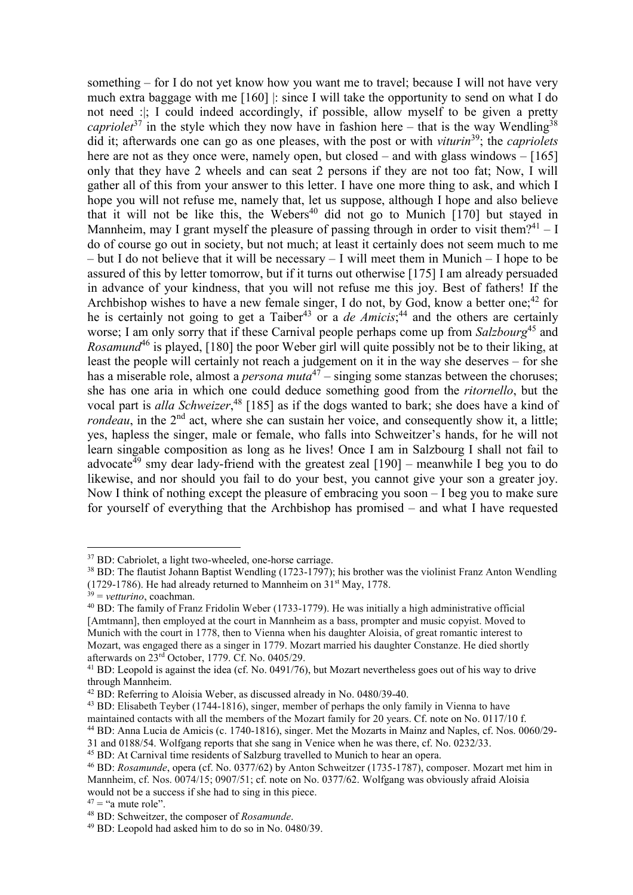something – for I do not yet know how you want me to travel; because I will not have very much extra baggage with me [160] |: since I will take the opportunity to send on what I do not need :|; I could indeed accordingly, if possible, allow myself to be given a pretty *capriolet*<sup>37</sup> in the style which they now have in fashion here – that is the way Wendling<sup>38</sup> did it; afterwards one can go as one pleases, with the post or with *viturin*<sup>39</sup>; the *capriolets* here are not as they once were, namely open, but closed – and with glass windows – [165] only that they have 2 wheels and can seat 2 persons if they are not too fat; Now, I will gather all of this from your answer to this letter. I have one more thing to ask, and which I hope you will not refuse me, namely that, let us suppose, although I hope and also believe that it will not be like this, the Webers<sup>40</sup> did not go to Munich  $[170]$  but stayed in Mannheim, may I grant myself the pleasure of passing through in order to visit them?<sup>41</sup> – I do of course go out in society, but not much; at least it certainly does not seem much to me – but I do not believe that it will be necessary – I will meet them in Munich – I hope to be assured of this by letter tomorrow, but if it turns out otherwise [175] I am already persuaded in advance of your kindness, that you will not refuse me this joy. Best of fathers! If the Archbishop wishes to have a new female singer, I do not, by God, know a better one;<sup>42</sup> for he is certainly not going to get a Taiber<sup>43</sup> or a *de Amicis*;<sup>44</sup> and the others are certainly worse; I am only sorry that if these Carnival people perhaps come up from *Salzbourg*<sup>45</sup> and *Rosamund*<sup>46</sup> is played, [180] the poor Weber girl will quite possibly not be to their liking, at least the people will certainly not reach a judgement on it in the way she deserves – for she has a miserable role, almost a *persona muta*<sup>47</sup> – singing some stanzas between the choruses; she has one aria in which one could deduce something good from the *ritornello*, but the vocal part is *alla Schweizer*, <sup>48</sup> [185] as if the dogs wanted to bark; she does have a kind of *rondeau*, in the 2<sup>nd</sup> act, where she can sustain her voice, and consequently show it, a little; yes, hapless the singer, male or female, who falls into Schweitzer's hands, for he will not learn singable composition as long as he lives! Once I am in Salzbourg I shall not fail to advocate<sup> $\bar{4}9$ </sup> smy dear lady-friend with the greatest zeal [190] – meanwhile I beg you to do likewise, and nor should you fail to do your best, you cannot give your son a greater joy. Now I think of nothing except the pleasure of embracing you soon – I beg you to make sure for yourself of everything that the Archbishop has promised – and what I have requested

<sup>37</sup> BD: Cabriolet, a light two-wheeled, one-horse carriage.

<sup>&</sup>lt;sup>38</sup> BD: The flautist Johann Baptist Wendling (1723-1797); his brother was the violinist Franz Anton Wendling (1729-1786). He had already returned to Mannheim on  $31<sup>st</sup>$  May, 1778.

 $39$  = *vetturino*, coachman.

<sup>40</sup> BD: The family of Franz Fridolin Weber (1733-1779). He was initially a high administrative official [Amtmann], then employed at the court in Mannheim as a bass, prompter and music copyist. Moved to Munich with the court in 1778, then to Vienna when his daughter Aloisia, of great romantic interest to Mozart, was engaged there as a singer in 1779. Mozart married his daughter Constanze. He died shortly afterwards on 23rd October, 1779. Cf. No. 0405/29.

<sup>&</sup>lt;sup>41</sup> BD: Leopold is against the idea (cf. No. 0491/76), but Mozart nevertheless goes out of his way to drive through Mannheim.

<sup>&</sup>lt;sup>42</sup> BD: Referring to Aloisia Weber, as discussed already in No. 0480/39-40.

<sup>43</sup> BD: Elisabeth Teyber (1744-1816), singer, member of perhaps the only family in Vienna to have

maintained contacts with all the members of the Mozart family for 20 years. Cf. note on No. 0117/10 f.

<sup>44</sup> BD: Anna Lucia de Amicis (c. 1740-1816), singer. Met the Mozarts in Mainz and Naples, cf. Nos. 0060/29-

<sup>31</sup> and 0188/54. Wolfgang reports that she sang in Venice when he was there, cf. No. 0232/33.

<sup>45</sup> BD: At Carnival time residents of Salzburg travelled to Munich to hear an opera.

<sup>46</sup> BD: *Rosamunde*, opera (cf. No. 0377/62) by Anton Schweitzer (1735-1787), composer. Mozart met him in Mannheim, cf. Nos. 0074/15; 0907/51; cf. note on No. 0377/62. Wolfgang was obviously afraid Aloisia would not be a success if she had to sing in this piece.

 $47 =$  "a mute role".

<sup>48</sup> BD: Schweitzer, the composer of *Rosamunde*.

<sup>49</sup> BD: Leopold had asked him to do so in No. 0480/39.